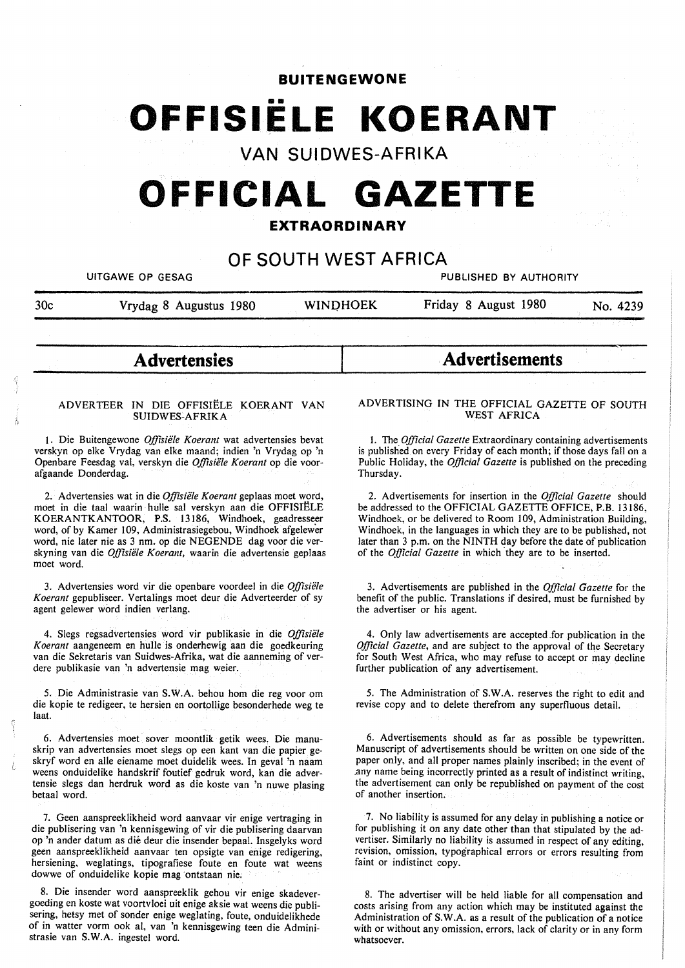# **BUITENGEWONE**

# **OFFISIELE KOERANT**

# **VAN SUIDWES-AFRIKA**

# **OFFICIAL GAZETTE**

# **EXTRAORDINARY**

# **OF SOUTH WEST AFRICA**

UITGAWE OP GESAG PUBLISHED BY AUTHORITY

30c Vrydag 8 Augustus 1980 WINOHOEK Friday 8 August 1980 No. 4239

**Advertensies** 

#### AD VER TEER IN DIE OFFISIELE KOERANT VAN **SUIDWES-AFRIKA**

1. Die Buitengewone *Offisiele Koerant* wat advertensies bevat verskyn op elke Vrydag van elke maand; indien 'n Vrydag op 'n Openbare Feesdag val, verskyn die *Offisiele Koerant* op die voorafgaande Donderdag.

2. Advertensies wat in die *Offisiele Koerant* geplaas moet word, moet in die taal waarin hulle sal verskyn aan die OFFISIELE KOERANTKANTOOR, P.S. 13186, Windhoek, geadresseer word, of by Kamer 109, Administrasiegebou, Windhoek afgelewer word, nie later nie as 3 nm. op die NEGENDE dag voor die verskyning van die *Offisiele Koerant,* waarin die advertensie geplaas moet word.

3. Advertensies word vir die openbare voordeel in die *Offisiele Koerant* gepubliseer. Vertalings moet deur die Adverteerder of sy agent gelewer word indien verlang.

4. Slegs regsadvertensies word vir publikasie in die *Offisiele Koerant* aangeneem en hulle is onderhewig aan die goedkeuring van die Sekretaris van Suidwes-Afrika, wat die aanneming of verdere publikasie van 'n advertensie mag weier.

5. Die Administrasie van **S.W.A.** behou horn die reg voor om die kopie te redigeer, te hersien en oortollige besonderhede weg te laat.

6. Advertensies moet sover moontlik getik wees. Die manuskrip van advertensies moet slegs op een kant van die papier geskryf word en alle eiename moet duidelik wees. In geval 'n naam weens onduidelike handskrif foutief gedruk word, kan die advertensie slegs dan herdruk word as die koste van 'n nuwe plasing betaal word.

7. Geen aanspreeklikheid word aanvaar vir enige vertraging in die publisering van 'n kennisgewing of vir die publisering daarvan op 'n ander datum as die deur die insender bepaal. Insgelyks word geen aanspreeklikheid aanvaar ten opsigte van enige redigering, hersiening, weglatings, tipografiese foute en foute wat weens dowwe of onduidelike kopie mag ontstaan nie.

8. Die insender word aanspreeklik gehou vir enige skadevergoeding en koste wat voortvloei uit enige aksie wat weens die publisering, hetsy met of sonder enige weglating, foute, onduidelikhede of in watter vorm ook al, van 'n kennisgewing teen die Administrasie van **S.W.A.** ingestel word.

#### ADVERTISING IN THE OFFICIAL GAZETTE OF SOUTH WEST AFRICA

**Advertisements** 

I. The *Official Gazette* Extraordinary containing advertisements is published on every Friday of each month; if those days fall on a Public Holiday, the *Official Gazette* is published on the preceding Thursday.

2. Advertisements for insertion in the *Official Gazette* should be addressed to the OFFICIAL GAZETTE OFFICE, P.B. 13186, Windhoek, or be delivered to Room 109, Administration Building, Windhoek, in the languages in which they are to be published, not later than 3 p.m. on the NINTH day before the date of publication of the *Official Gazette* in which they are to be inserted.

3. Advertisements are published in the *Official Gazette* for the benefit of the public. Translations if desired, must be furnished by the advertiser or his agent.

4. Only law advertisements are accepted .for publication in the *Official Gazette,* and are subject to the approval of the Secretary for South West Africa, who may refuse to accept or may decline further publication of any advertisement.

5. The Administration of **S.W.A.** reserves the right to edit and revise copy and to delete therefrom any superfluous detail.

6. Advertisements should as far as possible be typewritten. Manuscript of advertisements should be written on one side of the paper only, and all proper names plainly inscribed; in the event of .any name being incorrectly printed as a result of indistinct writing, the advertisement can only be republished on payment of the cost of another insertion.

7. No liability is assumed for any delay in publishing a notice or for publishing it on any date other than that stipulated by the advertiser. Similarly no liability is assumed in respect of any editing, revision, omission, typographical errors or errors resulting from faint or indistinct copy.

8. The advertiser will be held liable for all compensation and costs arising from any action which may be instituted against the Administration of S.W.A. as a result of the publication of a notice with or without any omission, errors, lack of clarity or in any form whatsoever.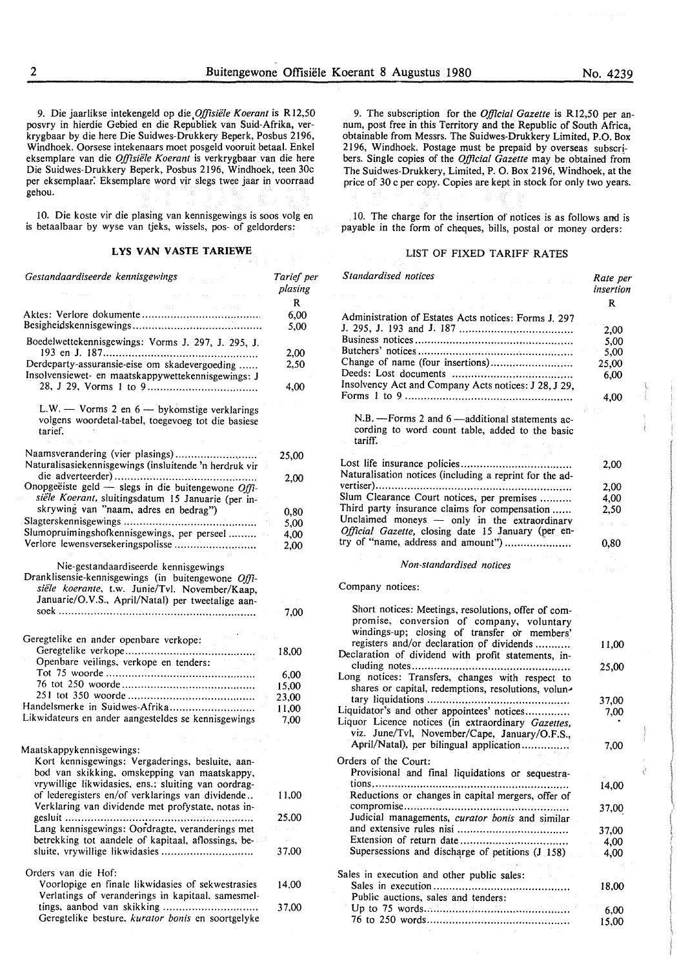*Standardised notices* 

9. Die jaarlikse intekengeld op *die,Offisiiile Koerant* is Rl2,50 posvry in hierdie Gebied en die Republiek van Suid-Afrika, verkrygbaar by die here Die Suidwes-Drukkery Beperk, Posbus 2196, Windhoek. Oorsese intekenaars moet posgeld vooruit betaal. Enke! eksemplare van die *Offisiiile Koerant* is verkrygbaar van die here Die Suidwes-Drukkery Beperk, Posbus 2196, Windhoek, teen 30c per eksemplaar: Eksemplare word vir slegs twee jaar in voorraad gehou.

1 O. Die koste vir die plasing van kennisgewings is soos volg en is betaalbaar by wyse van tjeks, wissels, pos- of geldorders:

# **LYS VAN V ASTE TARIEWE**

| Gestandaardiseerde kennisgewings                                                                                                                                                                          | Tarief per<br>plasing |
|-----------------------------------------------------------------------------------------------------------------------------------------------------------------------------------------------------------|-----------------------|
|                                                                                                                                                                                                           | R                     |
|                                                                                                                                                                                                           | 6,00                  |
|                                                                                                                                                                                                           | 5,00                  |
| Boedelwettekennisgewings: Vorms J. 297, J. 295, J.                                                                                                                                                        |                       |
| Derdeparty-assuransie-eise om skadevergoeding                                                                                                                                                             | 2,00<br>2,50          |
| Insolvensiewet- en maatskappywettekennisgewings: J                                                                                                                                                        |                       |
|                                                                                                                                                                                                           | 4,00                  |
| L.W. $-$ Vorms 2 en $6 -$ by komstige verklarings<br>volgens woordetal-tabel, toegevoeg tot die basiese<br>tarief.                                                                                        |                       |
| Naamsverandering (vier plasings)                                                                                                                                                                          | 25,00                 |
| Naturalisasiekennisgewings (insluitende 'n herdruk vir                                                                                                                                                    |                       |
| Onopgeëiste geld — slegs in die buitengewone $Of\hat{U}$ -                                                                                                                                                | 2,00                  |
| siële Koerant, sluitingsdatum 15 Januarie (per in-                                                                                                                                                        |                       |
| skrywing van "naam, adres en bedrag")                                                                                                                                                                     |                       |
|                                                                                                                                                                                                           | 0,80<br>5,00          |
| Slumopruimingshofkennisgewings, per perseel                                                                                                                                                               | 4.00                  |
| Verlore lewensversekeringspolisse                                                                                                                                                                         | 2,00                  |
|                                                                                                                                                                                                           |                       |
| Nie-gestandaardiseerde kennisgewings<br>Dranklisensie-kennisgewings (in buitengewone Offi-<br>siële koerante, t.w. Junie/Tvl. November/Kaap,<br>Januarie/O.V.S., April/Natal) per tweetalige aan-<br>soek | 7,00                  |
|                                                                                                                                                                                                           |                       |
| Geregtelike en ander openbare verkope:                                                                                                                                                                    |                       |
| Geregtelike verkope                                                                                                                                                                                       | 18,00                 |
| Openbare veilings, verkope en tenders:                                                                                                                                                                    |                       |
|                                                                                                                                                                                                           | 6,00                  |
|                                                                                                                                                                                                           | 15,00                 |
| Handelsmerke in Suidwes-Afrika                                                                                                                                                                            | 23,00                 |
| Likwidateurs en ander aangesteldes se kennisgewings                                                                                                                                                       | 11,00                 |
|                                                                                                                                                                                                           | 7,00                  |
|                                                                                                                                                                                                           |                       |
| Maatskappykennisgewings:                                                                                                                                                                                  |                       |
| Kort kennisgewings: Vergaderings, besluite, aan-<br>bod van skikking, omskepping van maatskappy,                                                                                                          |                       |
| vrywillige likwidasies, ens.; sluiting van oordrag-                                                                                                                                                       |                       |
| of lederegisters en/of verklarings van dividende<br>Verklaring van dividende met profystate, notas in-                                                                                                    | 11,00                 |
|                                                                                                                                                                                                           | 25,00                 |
| Lang kennisgewings: Oordragte, veranderings met                                                                                                                                                           |                       |
| betrekking tot aandele of kapitaal, aflossings, be-<br>sluite, vrywillige likwidasies                                                                                                                     | 37,00                 |
| Orders van die Hof:                                                                                                                                                                                       |                       |
| Voorlopige en finale likwidasies of sekwestrasies<br>Verlatings of veranderings in kapitaal, samesmel-                                                                                                    | 14,00                 |
| tings, aanbod van skikking                                                                                                                                                                                | 37,00                 |

Geregtelike besture. *kurator bonis* en soortgelyke

9. The subscription for the *Official Gazette* is Rl2,50 per annum, post free in this Territory and the Republic of South Africa, obtainable from Messrs. The Suidwes-Drukkery Limited, P.O. Box 2196, Windhoek. Postage must be prepaid by overseas subscribers. Single copies of the *Official Gazette* may be obtained from The Suidwes-Drukkery, Limited, P. 0. Box 2196, Windhoek, at the price of 30 c per copy. Copies are kept in stock for only two years.

10. The charge for the insertion of notices is as follows and is payable in the form of cheques, bills, postal or money orders:

#### LIST OF FIXED TARIFF RATES

|                                                                                                                                                  | insertion |
|--------------------------------------------------------------------------------------------------------------------------------------------------|-----------|
|                                                                                                                                                  | R         |
| Administration of Estates Acts notices: Forms J. 297                                                                                             |           |
|                                                                                                                                                  | 2,00      |
|                                                                                                                                                  | 5,00      |
|                                                                                                                                                  | 5,00      |
| Change of name (four insertions)                                                                                                                 | 25,00     |
| Insolvency Act and Company Acts notices: J 28, J 29,                                                                                             | 6,00      |
|                                                                                                                                                  | 4,00      |
| N.B. - Forms 2 and 6 - additional statements ac-<br>cording to word count table, added to the basic<br>tariff.                                   |           |
| Naturalisation notices (including a reprint for the ad-                                                                                          | 2,00      |
|                                                                                                                                                  | 2,00      |
| Slum Clearance Court notices, per premises                                                                                                       | 4,00      |
| Third party insurance claims for compensation                                                                                                    | 2,50      |
| Unclaimed moneys - only in the extraordinary<br>Official Gazette, closing date 15 January (per en-                                               | na pr     |
| try of "name, address and amount")                                                                                                               | 0,80      |
|                                                                                                                                                  |           |
| Non-standardised notices                                                                                                                         |           |
| Company notices:                                                                                                                                 |           |
| Short notices: Meetings, resolutions, offer of com-<br>promise, conversion of company, voluntary<br>windings-up; closing of transfer or members' |           |
| registers and/or declaration of dividends<br>Declaration of dividend with profit statements, in-                                                 | 11,00     |
| Long notices: Transfers, changes with respect to<br>shares or capital, redemptions, resolutions, volun-                                          | 25,00     |
|                                                                                                                                                  | 37,00     |
| Liquidator's and other appointees' notices                                                                                                       | 7,00      |
| Liquor Licence notices (in extraordinary Gazettes,<br>viz. June/Tvl, November/Cape, January/O.F.S.,                                              |           |
| April/Natal), per bilingual application                                                                                                          | 7,00      |
| Orders of the Court:                                                                                                                             |           |
| Provisional and final liquidations or sequestra-                                                                                                 |           |
| tions<br>Reductions or changes in capital mergers, offer of                                                                                      | 14,00     |
| Judicial managements, curator bonis and similar                                                                                                  | 37,00     |
|                                                                                                                                                  | 37,00     |
|                                                                                                                                                  | 4,00      |
| Supersessions and discharge of petitions (J 158)                                                                                                 | 4.00      |
| Sales in execution and other public sales:                                                                                                       |           |
| Public auctions, sales and tenders:                                                                                                              | 18,00     |
|                                                                                                                                                  | 6,00      |
|                                                                                                                                                  | 15,00     |
|                                                                                                                                                  |           |

*Rate per*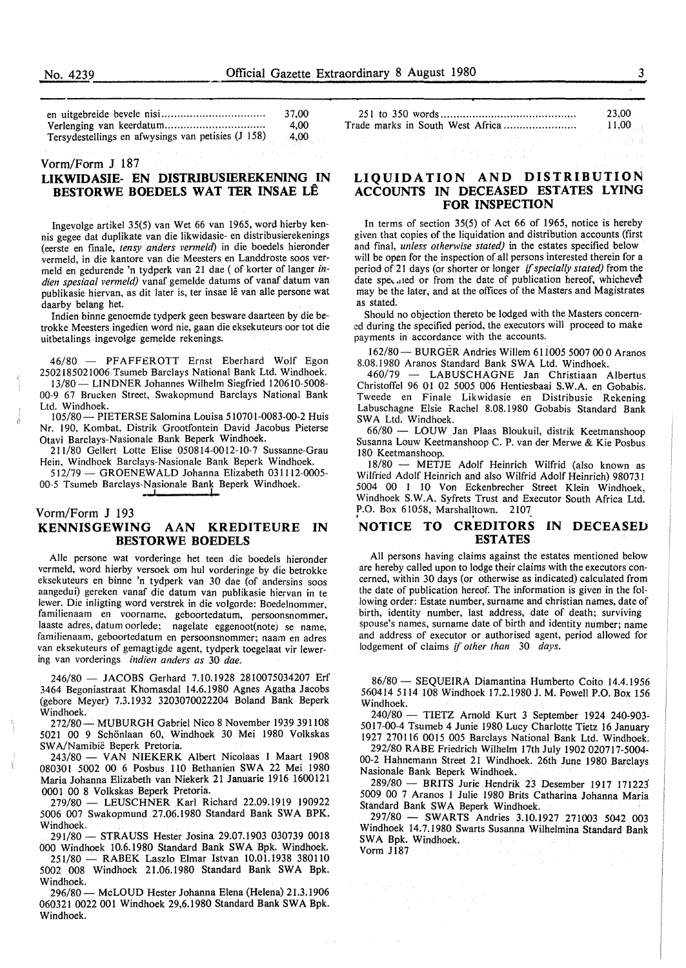|                                                    | 37.00 |  |  |
|----------------------------------------------------|-------|--|--|
|                                                    | 4.00  |  |  |
| Tersydestellings en afwysings van petisies (J 158) | -4.00 |  |  |

#### Vorm/Form J 187

# **LIKWIDASIE- EN DISTRIBUSIEREKENING IN BESTORWE BOEDELS WAT TER INSAE LÊ**

Ingevolge artikel 35(5) van Wet 66 van 1965, word hierby kennis gegee dat duplikate van die likwidasie- en distribusierekenings (eerste en finale, *tensy anders venneld)* in die boedels hieronder vermeld, in die kantore van die Meesters en Landdroste soos vermeld en gedurende 'n tydperk van 21 dae ( of korter of langer *indien spesiaal vermeld)* vanaf gemelde datums of vanaf datum van publikasie hiervan, as dit later is, ter insae lê van alle persone wat daarby belang het.

Indien binne genoemde tydperk geen besware daarteen by die betrokke Meesters ingedien word nie, gaan die eksekuteurs oor tot die uitbetalings ingevolge gemelde rekenings.

46/80 - PFAFF£ROTT Ernst Eberhard Wolf Egon 2502185021006 Tsumeb Barclays National Bank Ltd. Windhoek. 13/80 - LINDNER Johannes Wilhelm Siegfried 120610-5008-00-9 67 Brucken Street, Swakopmund Barclays National Bank Ltd. Windhoek.

105/80- PIETERSE Salomina Louisa 510701-0083-00-2 Huis Nr. 190, Kombat, Distrik Grootfontein David Jacobus Pieterse Otavi Barclays-Nasionale Bank Beperk Windhoek.

211/80 Gellert Lotte Elise 050814-0012-10-7 Sussanne-Grau Hein, Windhoek Barclays-Nasionale Bank Beperk Windhoek.

512/79 - GROENEWALD Johanna Elizabeth 031112-0005-00-5 Tsumeb Barclays-Nasionale Bank Beperk Windhoek.

## Vorm/Form J 193 **KENNISGEWING AAN KREDITEURE IN BESTORWE BOEDELS**

Alie persone wat vorderinge het teen die boedels hieronder vermeld, word hierby versoek om hul vorderinge by die betrokke eksekuteurs en binne 'n tydperk van 30 dae (of andersins soos aangedui) gereken vanaf die datum van publikasie hiervan in te lewer. Die inligting word verstrek in die volgorde: Boedelnommer. familienaam en voorname, geboortedatum, persoonsnommer, laaste adres, datum oorlede; nagelate eggenoot(note) se name familienaam, geboortedatum en persoonsnommer; naam en adre; van eksekuteurs of gemagtigde agent, tydperk toegelaat vir lewering van vorderings *indien anders as* 30 *dae.* 

246/80 - JACOBS Gerhard 7.10.1928 2810075034207 Erf 3464 Begoniastraat Khomasdal 14.6.1980 Agnes Agatha Jacobs (gebore Meyer) 7.3.1932 3203070022204 Boland Bank Beperk Windhoek.

272/80- MUBURGH Gabriel Nico 8 November 1939 391108 5021 00 9 Schonlaan 60, Windhoek 30 Mei 1980 Volkskas SW A/Namibie Beperk Pretoria.

243/80 - VAN NIEKERK Albert Nicolaas 1 Maart 1908 080301 5002 00 6 Posbus 110 Bethanien SWA 22 Mei 1980 Maria Johanna Elizabeth van Niekerk 21 Januarie 1916 1600121 0001 00 8 Volkskas Beperk Pretoria.

279/80 - LEUSCHNER Karl Richard 22.09.1919 190922 5006 007 Swakopmund 27.06.1980 Standard Bank SWA BPK. Windhoek.

291/80 - STRAUSS Hester Josina 29.07.1903 030739 0018 000 Windhoek 10.6.1980 Standard Bank SWA Bpk. Windhoek.

251/80 - RABEK Laszlo Elmar Istvan 10.01.1938 380110 5002 008 Windhoek 21.06.1980 Standard Bank SWA Bpk. Windhoek.

296/80- McLOUD Hester Johanna Elena (Helena) 21.3.1906 0603210022001 Windhoek 29,6.1980 Standard Bank SWA Bpk. Windhoek.

|  |  |  |  |  |  |  | 23.00 |  |       |  |  |
|--|--|--|--|--|--|--|-------|--|-------|--|--|
|  |  |  |  |  |  |  |       |  | 11,00 |  |  |
|  |  |  |  |  |  |  |       |  |       |  |  |

# **LIQUIDATION AND DISTRIBUTION ACCOUNTS IN DECEASED ESTATES LYING FOR INSPECTION**

In terms of section 35(5) of Act 66 of 1965, notice is hereby given that copies of the liquidation and distribution accounts (first and final, *unless otherwise stated)* in the estates specified below will be open for the inspection of all persons interested therein for a period of 21 days (or shorter or longer if *specially stated)* from the date specaled or from the date of publication hereof, whichever may be the later, and at the offices of the Masters and Magistrates as stated.

Should no objection thereto be lodged with the Masters concerned during the specified period, the executors will proceed to make payments in accordance with the accounts.

162/80- BURGER Andries Willem 611005 5007 00 O Aranos 8.08.1980 Aranos Standard Bank SWA Ltd. Windhoek.

460/79 - LABUSCHAGNE Jan Christiaan Albertus Christoffel 96 01 02 5005 006 Hentiesbaai **S.W.A.** en Gobabis. Tweede en Finale Likwidasie en Distribusie Rekening Labuschagne Elsie Rachel 8.08.1980 Gobabis Standard Bank SWA Ltd. Windhoek.

66/80 - LOUW Jan Plaas Bloukuil, distrik Keetmanshoop Susanna Louw Keetmanshoop C. P. van der Merwe & Kie Posbus 180 Keetmanshoop.

18/80 - METJE Adolf Heinrich Wilfrid (also known as Wilfried Adolf Heinrich and also Wilfrid Adolf Heinrich) 980731 5004 00 I 10 Von Eckenbrecher Street Klein Windhoek Windhoek S.W.A. Syfrets Trust and Executor South Africa Ltd'. P.O. Box 61058, Marshalltown. 2107

# **NOTICE TO CREDITORS IN DECEASED ESTATES**

All persons having claims against the estates mentioned below are hereby called upon to lodge their claims with the executors concerned, within 30 days (or otherwise as indicated) calculated from the date of publication hereof. The information is given in the following order: Estate number, surname and christian names, date of birth, identity number, last address, date of death; surviving spouse's names, surname date of birth and identity number; name and address of executor or authorised agent, period allowed for lodgement of claims if *other than* 30 *days.* 

86/80 - SEQUEIRA Diamantina Humberto Coito 14.4.1956 560414 5114 108 Windhoek 17.2.1980 J.M. Powell P.O. Box 156 Windhoek.

240/80 - TIETZ Arnold Kurt 3 September 1924 240-903- 5017-00-4 Tsumeb 4 Junie 1980 Lucy Charlotte Tietz 16 January 1927 270116 0015 005 Barclays National Bank Ltd. Windhoek.

292/80 RABE Friedrich Wilhelm 17th July 1902 020717-5004- 00-2 Hahnemann Street 21 Windhoek. 26th June 1980 Barclays Nasionale Bank Beperk Windhoek.

289/80 - BRITS Jurie Hendrik 23 Desember 1917 171223" 5009 00 7 Aranas l Julie 1980 Brits Catharina Johanna Maria Standard Bank SWA Beperk Windhoek.

297/80 - SWARTS Andries 3.10.1927 271003 5042 003 Windhoek 14.7.1980 Swarts Susanna Wilhelmina Standard Bank SWA Bpk. Windhoek.

Vorm JI87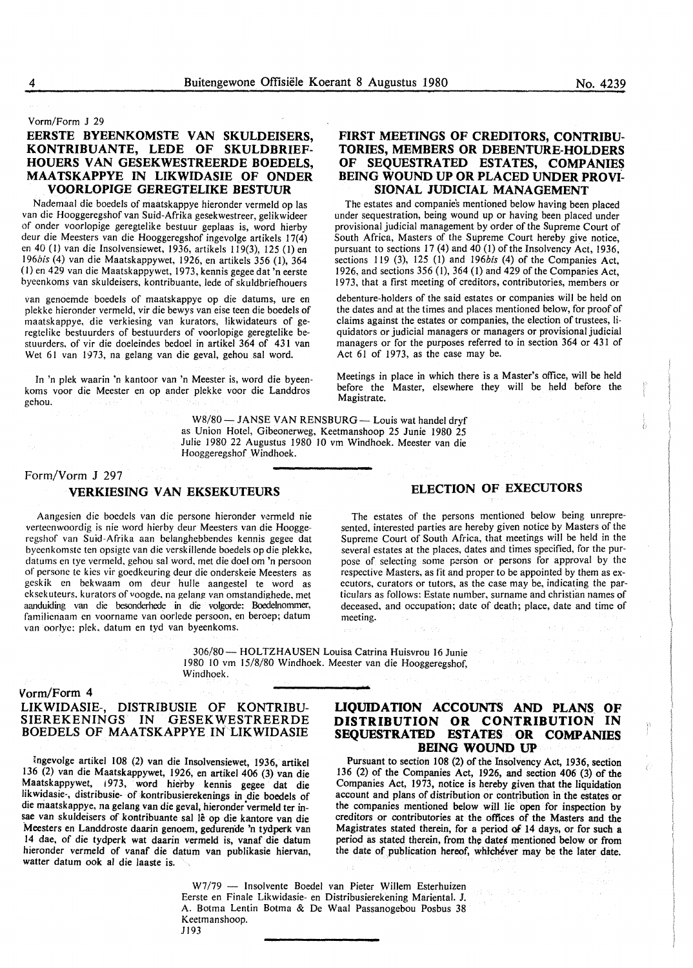#### Vorm/Form J 29

# **EERSTE BYEENKOMSTE VAN SKULDEISERS, KONTRIBUANTE, LEDE OF SKULDBRIEF-HOUERS VAN GESEKWESTREERDE BOEDELS, MAA TSKAPPYE IN LIKWIDASIE OF ONDER VOORLOPIGE GEREGTELIKE BESTUUR**

Nademaal die boedels of maatskappye hieronder vermeld op las van die Hooggeregshof van Suid-Afrika gesekwestreer, gelikwideer of onder voorlopige geregtelike bestuur geplaas is, word hierby deur die Meesters van die Hooggeregshof ingevolge artikels 17(4) en 40 (1) van die Insolvensiewet, 1936, artikels 119(3), 125 (1) en I *96bis* (4) van die Maatskappywet, I 926, en artikels 356 (1), 364 (I) en 429 van die Maatskappywet, 1973, kennis gegee dat 'n eerste byeenkoms van skuldeisers, kontribuante, lede of skuldbriefhouers

van genoemde boedels of maatskappye op die datums, ure en plekke hieronder vermeld, vir die bewys van eise teen die boedels of maatskappye, die verkiesing van kurators, likwidateurs of geregtelike bestuurders of bestuurders of voorlopige geregtelike bestuurders, of vir die doeleindes bedoel in artikel 364 of 431 van Wet 61 van 1973, na gelang van die geval, gehou sal word.

In 'n plek waarin 'n kantoor van 'n Meester is, word die byeenkoms voor die Meester en op ander plekke voor die Landdros gehou.

#### W8/80-JANSE VAN RENSBURG- Louis wat handel dryf as Union Hotel, Gibeonerweg, Keetmanshoop 25 Junie 1980 25 Julie 1980 22 Augustus 1980 JO vm Windhoek. Meester van die Hooggeregshof Windhoek.

Magistrate.

# Form/Vorm J 297

### **VERKIESING VAN EKSEKUTEURS**

Aangesicn die boedels van die persone hieronder vermeld nie verteenwoordig is nie word hierby deur Meesters van die Hooggeregshof van Suid-Afrika aan belanghebbendes kennis gegee dat byecnkomstc ten opsigte van die verskillende boedels op die plekkc, datums en tye vermeld, gehou sal word, met die doel om 'n persoon of persone te kies vir goedkeuring deur die onderskeie Meesters as geskik en bekwaam om deur hulle aangestel te word as cksekuteurs, kurators of voogde. na gelan\_g van omstandighede, met aanduiding van die besonderhede in die volgorde: Boedelnommer, familienaam en voorname van oorlede persoon, en beroep; datum van oorlyc: plek. datum en tyd van byeenkoms.

# **ELECTION OF EXECUTORS**

Meetings in place in which there is a Master's office, will be held before the Master, elsewhere they will be held before the

**FIRST MEETINGS OF CREDITORS, CONTRIBU-TORIES, MEMBERS OR DEBENTURE-HOLDERS OF SEQUESTRATED ESTATES, COMPANIES BEING WOUND UP OR PLACED UNDER PROVI-SIONAL JUDICIAL MANAGEMENT**  The estates and companies mentioned below having been placed under sequestration, being wound up or having been placed under provisional judicial management by order of the Supreme Court of South Africa, Masters of the Supreme Court hereby give notice, pursuant to sections 17 (4) and 40 (I) of the Insolvency Act, 1936, sections 119 (3), 125 (I) and *196bis* (4) of the Companies Act, 1926, and sections 356 (I), 364 (1) and 429 of the Companies Act, 1973, that a first meeting of creditors, contributories, members or debenture-holders of the said estates or companies will be held on the dates and at the times and places mentioned below, for proof of claims against the estates or companies, the election of trustees, liquidators or judicial managers or managers or provisional judicial managers or for the purposes referred to in section 364 or 431 of

Act 61 of 1973, as the case may be.

The estates of the persons mentioned below being unrepresented, interested parties are hereby given notice by Masters of the Supreme Court of South Africa, that meetings will be held in the several estates at the places, dates and times specified, for the purpose of selecting some person or persons for approval by the respective Masters, as fit and proper to be appointed by them as executors, curators or tutors, as the case may be, indicating the particulars as follows: Estate number, surname and christian names of deceased, and occupation; date of death; place, date and time of meeting.

306/80- HOLTZHAUSEN Louisa Catrina Huisvrou 16 Junie 1980 10 vm 15/8/80 Windhoek. Meester van die Hooggeregshof, Windhoek.

# **Vorm/Form 4**

# **LIKWIDASIE-, DISTRIBUSIE OF KONTRIBU-SIEREKENINGS IN GESEKWESTREERDE BOEDELS OF MAATSKAPPYE IN LIKWIDASIE**

ingevolge artikel I 08 (2) van die Insolvensiewet, 1936, artikel 136 (2) van die Maatskappywet, 1926, en artikel 406 (3) van die Maatskappywet, 1973, word hierby kennis gegee dat die likwidasie-, distribusie- of kontribusierekenings in die boedels of die maatskappye, na gelang van die geval, hieronder vermeld ter insae van skuldeisers of kontribuante sal lê op die kantore van die Meesters en Landdroste daarin genoem, gedurende 'n tydperk van 14 dae, of die tydperk wat daarin vermeld is, vanaf die datum hieronder vermeld of vanaf die datum van publikasie hiervan, watter datum ook al die laaste is.

# **LIQUIDATION ACCOUNTS AND PLANS. OF DISTRIBUTION OR CONTRIBUTION IN SEQUESTRATED ESTATES OR COMPANIES BEING WOUND UP**

Pursuant to section 108 (2) of the Insolvency Act, 1936, section 136 (2) of the Companies Act, 1926, and section 406 (3) of the Companies Act, 1973, notice is hereby given that the liquidation account and plans of distribution or contribution in the estates or the companies mentioned below will lie open for inspection by creditors or contributories at the offices of the Masters and the Magistrates stated therein, for a period of 14 days, or for such a period as stated therein, from the dates mentioned below or from the date of publication hereof, whichever may be the later date.

W7/79 - Insolvente Boedel van Pieter Willem Esterhuizen Eerste en Finale Likwidasie- en Distribusierekening Mariental. J. A. Botma Lentin Botma & De Waal Passanogebou Posbus 38 Keetmanshoop. Jl93